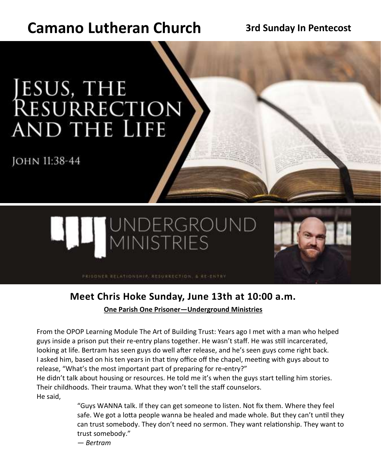# **Camano Lutheran Church 3rd Sunday In Pentecost**

# JESUS, THE<br>RESURRECTION **AND THE LIFE**

JOHN 11:38-44





# **Meet Chris Hoke Sunday, June 13th at 10:00 a.m.**

**[One Parish One Prisoner—Underground Ministries](https://f69e.engage.squarespace-mail.com/r?m=60bda5cde007d01dd9a6f3a8&u=https%3A%2F%2Fundergroundministries.org%2Fopop&w=5fee181c0400f40890032e7c&l=en-US&s=GWVJZ2XqJVjx0cst02uhwBzDb8c%3D)**

From the OPOP Learning Module The Art of Building Trust: Years ago I met with a man who helped guys inside a prison put their re-entry plans together. He wasn't staff. He was still incarcerated, looking at life. Bertram has seen guys do well after release, and he's seen guys come right back. I asked him, based on his ten years in that tiny office off the chapel, meeting with guys about to release, "What's the most important part of preparing for re-entry?"

He didn't talk about housing or resources. He told me it's when the guys start telling him stories. Their childhoods. Their trauma. What they won't tell the staff counselors. He said,

> "Guys WANNA talk. If they can get someone to listen. Not fix them. Where they feel safe. We got a lotta people wanna be healed and made whole. But they can't until they can trust somebody. They don't need no sermon. They want relationship. They want to trust somebody."

*— Bertram*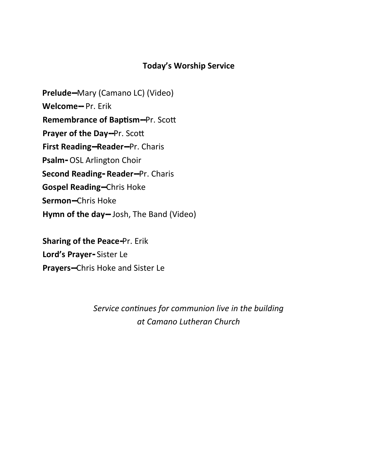#### **Today's Worship Service**

**Prelude--**Mary (Camano LC) (Video) **Welcome--** Pr. Erik **Remembrance of Baptism--**Pr. Scott **Prayer of the Day--**Pr. Scott **First Reading--Reader--**Pr. Charis **Psalm-** OSL Arlington Choir **Second Reading- Reader--**Pr. Charis **Gospel Reading--**Chris Hoke **Sermon--**Chris Hoke **Hymn of the day--** Josh, The Band (Video)

**Sharing of the Peace-**Pr. Erik **Lord's Prayer-** Sister Le **Prayers--**Chris Hoke and Sister Le

> *Service continues for communion live in the building at Camano Lutheran Church*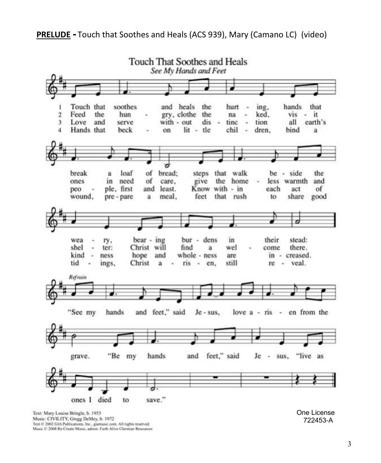

Music: CIVILITY, Gregg DeMey, b. 1972 Text © 2002 GIA Publications, Inc., giamusic com. All nights reserved. Music C 2008 Re Create Music, admin. Faith Alive Christian Resources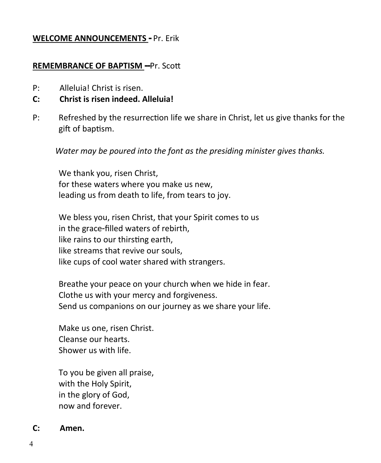#### **WELCOME ANNOUNCEMENTS -** Pr. Erik

#### **REMEMBRANCE OF BAPTISM --**Pr. Scott

- P: Alleluia! Christ is risen.
- **C: Christ is risen indeed. Alleluia!**
- P: Refreshed by the resurrection life we share in Christ, let us give thanks for the gift of baptism.

*Water may be poured into the font as the presiding minister gives thanks.*

We thank you, risen Christ, for these waters where you make us new, leading us from death to life, from tears to joy.

We bless you, risen Christ, that your Spirit comes to us in the grace-filled waters of rebirth, like rains to our thirsting earth, like streams that revive our souls, like cups of cool water shared with strangers.

Breathe your peace on your church when we hide in fear. Clothe us with your mercy and forgiveness. Send us companions on our journey as we share your life.

Make us one, risen Christ. Cleanse our hearts. Shower us with life.

To you be given all praise, with the Holy Spirit, in the glory of God, now and forever.

#### **C: Amen.**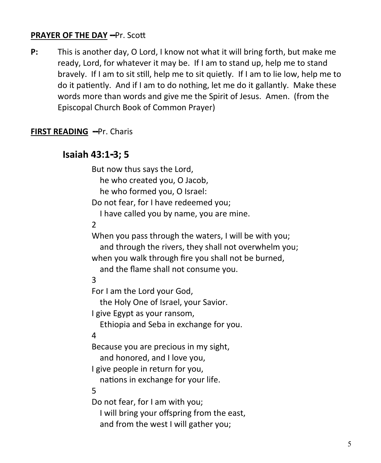#### **PRAYER OF THE DAY --**Pr. Scott

**P:** This is another day, O Lord, I know not what it will bring forth, but make me ready, Lord, for whatever it may be. If I am to stand up, help me to stand bravely. If I am to sit still, help me to sit quietly. If I am to lie low, help me to do it patiently. And if I am to do nothing, let me do it gallantly. Make these words more than words and give me the Spirit of Jesus. Amen. (from the Episcopal Church Book of Common Prayer)

#### **FIRST READING --**Pr. Charis

#### **Isaiah 43:1-3; 5**

But now thus says the Lord, he who created you, O Jacob, he who formed you, O Israel: Do not fear, for I have redeemed you; I have called you by name, you are mine. 2 When you pass through the waters, I will be with you; and through the rivers, they shall not overwhelm you; when you walk through fire you shall not be burned, and the flame shall not consume you. 3 For I am the Lord your God, the Holy One of Israel, your Savior. I give Egypt as your ransom, Ethiopia and Seba in exchange for you. 4 Because you are precious in my sight, and honored, and I love you, I give people in return for you, nations in exchange for your life. 5 Do not fear, for I am with you; I will bring your offspring from the east, and from the west I will gather you;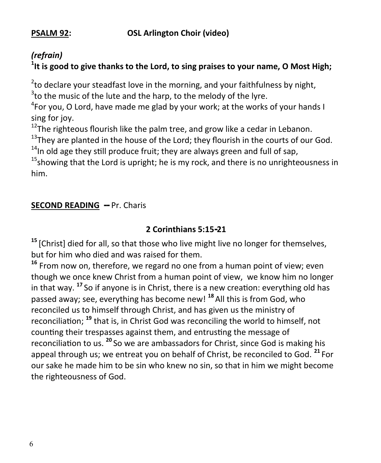**PSALM 92: OSL Arlington Choir (video)**

## *(refrain)*

### <sup>1</sup>lt is good to give thanks to the Lord, to sing praises to your name, O Most High;

 $^{2}$ to declare your steadfast love in the morning, and your faithfulness by night,  $3$ to the music of the lute and the harp, to the melody of the lyre.

<sup>4</sup>For you, O Lord, have made me glad by your work; at the works of your hands I sing for joy.

 $12$ The righteous flourish like the palm tree, and grow like a cedar in Lebanon.

 $13$ They are planted in the house of the Lord; they flourish in the courts of our God.

 $14$ In old age they still produce fruit; they are always green and full of sap,

 $15$ showing that the Lord is upright; he is my rock, and there is no unrighteousness in him.

#### **SECOND READING --** Pr. Charis

### **2 Corinthians 5:15-21**

<sup>15</sup> [Christ] died for all, so that those who live might live no longer for themselves, but for him who died and was raised for them.

**<sup>16</sup>** From now on, therefore, we regard no one from a human point of view; even though we once knew Christ from a human point of view, we know him no longer in that way. **<sup>17</sup>**So if anyone is in Christ, there is a new creation: everything old has passed away; see, everything has become new! **<sup>18</sup>**All this is from God, who reconciled us to himself through Christ, and has given us the ministry of reconciliation; **<sup>19</sup>** that is, in Christ God was reconciling the world to himself, not counting their trespasses against them, and entrusting the message of reconciliation to us. **<sup>20</sup>**So we are ambassadors for Christ, since God is making his appeal through us; we entreat you on behalf of Christ, be reconciled to God. **<sup>21</sup>**For our sake he made him to be sin who knew no sin, so that in him we might become the righteousness of God.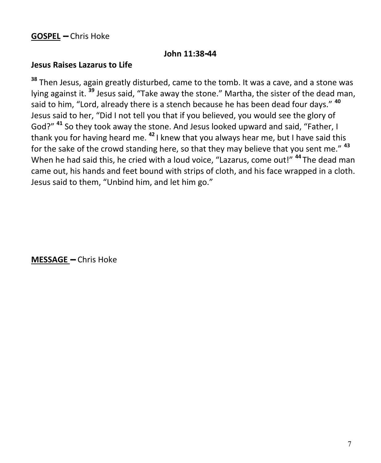#### **John 11:38-44**

#### **Jesus Raises Lazarus to Life**

**<sup>38</sup>** Then Jesus, again greatly disturbed, came to the tomb. It was a cave, and a stone was lying against it. **<sup>39</sup>** Jesus said, "Take away the stone." Martha, the sister of the dead man, said to him, "Lord, already there is a stench because he has been dead four days." **<sup>40</sup>** Jesus said to her, "Did I not tell you that if you believed, you would see the glory of God?" **<sup>41</sup>** So they took away the stone. And Jesus looked upward and said, "Father, I thank you for having heard me. **<sup>42</sup>**I knew that you always hear me, but I have said this for the sake of the crowd standing here, so that they may believe that you sent me." **<sup>43</sup>** When he had said this, he cried with a loud voice, "Lazarus, come out!" **<sup>44</sup>**The dead man came out, his hands and feet bound with strips of cloth, and his face wrapped in a cloth. Jesus said to them, "Unbind him, and let him go."

**MESSAGE --** Chris Hoke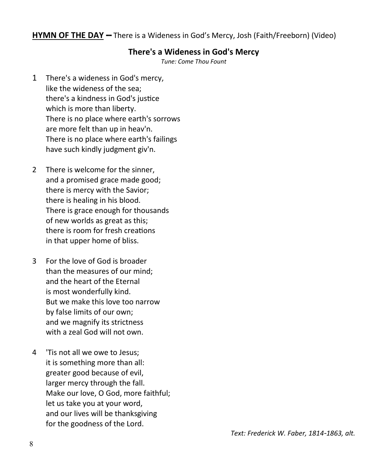#### **HYMN OF THE DAY --** There is a Wideness in God's Mercy, Josh (Faith/Freeborn) (Video)

#### **There's a Wideness in God's Mercy**

*Tune: Come Thou Fount* 

- 1 There's a wideness in God's mercy, like the wideness of the sea; there's a kindness in God's justice which is more than liberty. There is no place where earth's sorrows are more felt than up in heav'n. There is no place where earth's failings have such kindly judgment giv'n.
- 2 There is welcome for the sinner, and a promised grace made good; there is mercy with the Savior; there is healing in his blood. There is grace enough for thousands of new worlds as great as this; there is room for fresh creations in that upper home of bliss.
- 3 For the love of God is broader than the measures of our mind; and the heart of the Eternal is most wonderfully kind. But we make this love too narrow by false limits of our own; and we magnify its strictness with a zeal God will not own.
- 4 'Tis not all we owe to Jesus; it is something more than all: greater good because of evil, larger mercy through the fall. Make our love, O God, more faithful; let us take you at your word, and our lives will be thanksgiving for the goodness of the Lord.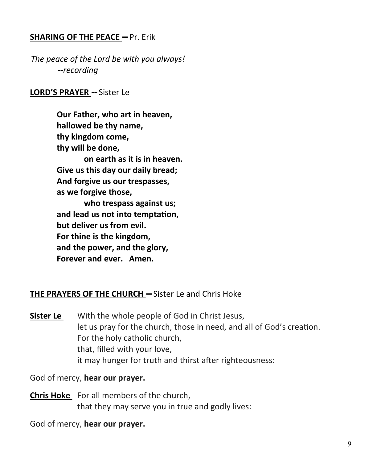#### **SHARING OF THE PEACE --** Pr. Erik

*The peace of the Lord be with you always! --recording*

#### **LORD'S PRAYER --** Sister Le

**Our Father, who art in heaven, hallowed be thy name, thy kingdom come, thy will be done, on earth as it is in heaven. Give us this day our daily bread; And forgive us our trespasses, as we forgive those, who trespass against us; and lead us not into temptation, but deliver us from evil. For thine is the kingdom, and the power, and the glory, Forever and ever. Amen.**

#### **THE PRAYERS OF THE CHURCH --** Sister Le and Chris Hoke

**Sister Le** With the whole people of God in Christ Jesus, let us pray for the church, those in need, and all of God's creation. For the holy catholic church, that, filled with your love, it may hunger for truth and thirst after righteousness:

God of mercy, **hear our prayer.**

**Chris Hoke** For all members of the church, that they may serve you in true and godly lives:

God of mercy, **hear our prayer.**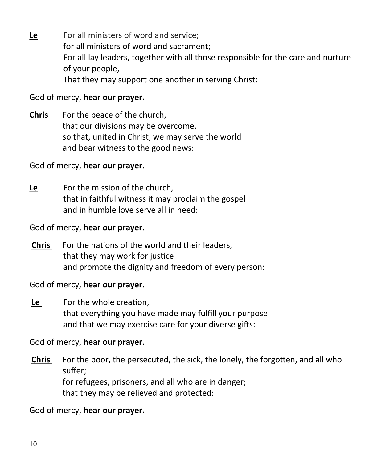**Le** For all ministers of word and service; for all ministers of word and sacrament; For all lay leaders, together with all those responsible for the care and nurture of your people, That they may support one another in serving Christ:

#### God of mercy, **hear our prayer.**

**Chris** For the peace of the church, that our divisions may be overcome, so that, united in Christ, we may serve the world and bear witness to the good news:

#### God of mercy, **hear our prayer.**

**Le** For the mission of the church, that in faithful witness it may proclaim the gospel and in humble love serve all in need:

#### God of mercy, **hear our prayer.**

**Chris** For the nations of the world and their leaders, that they may work for justice and promote the dignity and freedom of every person:

#### God of mercy, **hear our prayer.**

**Le** For the whole creation, that everything you have made may fulfill your purpose and that we may exercise care for your diverse gifts:

#### God of mercy, **hear our prayer.**

**Chris** For the poor, the persecuted, the sick, the lonely, the forgotten, and all who suffer; for refugees, prisoners, and all who are in danger; that they may be relieved and protected:

#### God of mercy, **hear our prayer.**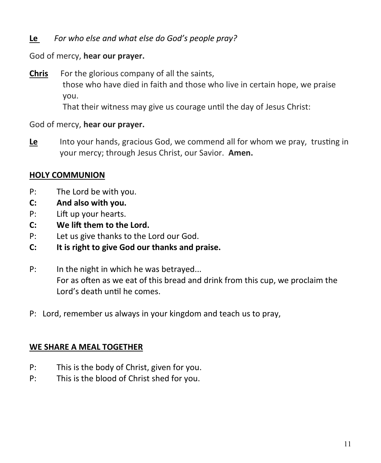#### **Le** *For who else and what else do God's people pray?*

#### God of mercy, **hear our prayer.**

**Chris** For the glorious company of all the saints, those who have died in faith and those who live in certain hope, we praise you.

That their witness may give us courage until the day of Jesus Christ:

#### God of mercy, **hear our prayer.**

**Le** Into your hands, gracious God, we commend all for whom we pray, trusting in your mercy; through Jesus Christ, our Savior. **Amen.**

#### **HOLY COMMUNION**

- P: The Lord be with you.
- **C: And also with you.**
- P: Lift up your hearts.
- **C: We lift them to the Lord.**
- P: Let us give thanks to the Lord our God.
- **C: It is right to give God our thanks and praise.**
- P: In the night in which he was betrayed... For as often as we eat of this bread and drink from this cup, we proclaim the Lord's death until he comes.
- P: Lord, remember us always in your kingdom and teach us to pray,

#### **WE SHARE A MEAL TOGETHER**

- P: This is the body of Christ, given for you.
- P: This is the blood of Christ shed for you.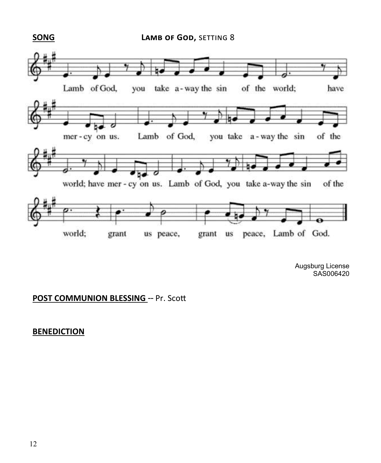**SONG LAMB OF GOD, SETTING 8** 



Augsburg License SAS006420

#### **POST COMMUNION BLESSING** -- Pr. Scott

#### **BENEDICTION**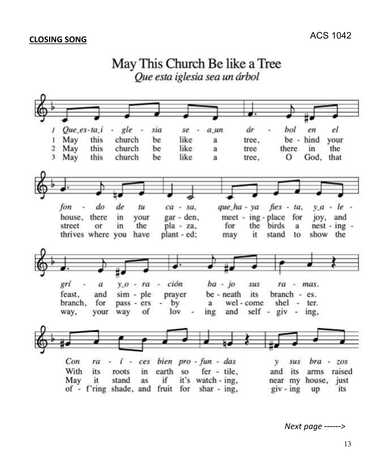

*Next page ------>*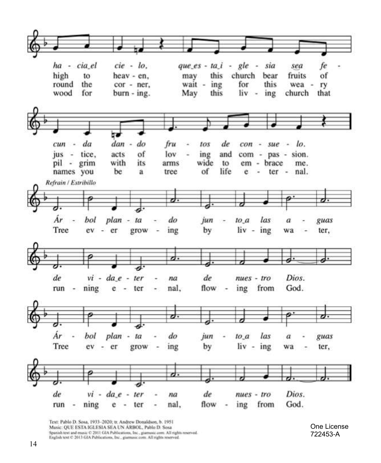

Text: Pablo D. Sosa, 1933-2020; tr. Andrew Donaldson, b. 1951 Music: QUE ESTA IGLESIA SEA UN ÁRBOL, Pablo D. Sosa Spanish text and music © 2011 GIA Publications, Inc., giamusic com. All rights reserved.<br>English text © 2013 GIA Publications, Inc., giamusic com. All rights reserved.

One License 722453 - A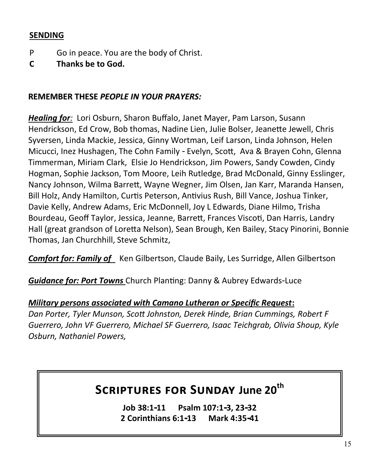#### **SENDING**

- P Go in peace. You are the body of Christ.
- **C Thanks be to God.**

#### **REMEMBER THESE** *PEOPLE IN YOUR PRAYERS:*

*Healing for:* Lori Osburn, Sharon Buffalo, Janet Mayer, Pam Larson, Susann Hendrickson, Ed Crow, Bob thomas, Nadine Lien, Julie Bolser, Jeanette Jewell, Chris Syversen, Linda Mackie, Jessica, Ginny Wortman, Leif Larson, Linda Johnson, Helen Micucci, Inez Hushagen, The Cohn Family - Evelyn, Scott, Ava & Brayen Cohn, Glenna Timmerman, Miriam Clark, Elsie Jo Hendrickson, Jim Powers, Sandy Cowden, Cindy Hogman, Sophie Jackson, Tom Moore, Leih Rutledge, Brad McDonald, Ginny Esslinger, Nancy Johnson, Wilma Barrett, Wayne Wegner, Jim Olsen, Jan Karr, Maranda Hansen, Bill Holz, Andy Hamilton, Curtis Peterson, Antivius Rush, Bill Vance, Joshua Tinker, Davie Kelly, Andrew Adams, Eric McDonnell, Joy L Edwards, Diane Hilmo, Trisha Bourdeau, Geoff Taylor, Jessica, Jeanne, Barrett, Frances Viscoti, Dan Harris, Landry Hall (great grandson of Loretta Nelson), Sean Brough, Ken Bailey, Stacy Pinorini, Bonnie Thomas, Jan Churchhill, Steve Schmitz,

*Comfort for: Family of* Ken Gilbertson, Claude Baily, Les Surridge, Allen Gilbertson

*Guidance for: Port Towns* Church Planting: Danny & Aubrey Edwards-Luce

*Military persons associated with Camano Lutheran or Specific Request***:**  *Dan Porter, Tyler Munson, Scott Johnston, Derek Hinde, Brian Cummings, Robert F Guerrero, John VF Guerrero, Michael SF Guerrero, Isaac Teichgrab, Olivia Shoup, Kyle Osburn, Nathaniel Powers,* 

## **Scriptures for Sunday June 20th**

**Job 38:1-11 Psalm 107:1-3, 23-32 2 Corinthians 6:1-13 Mark 4:35-41**